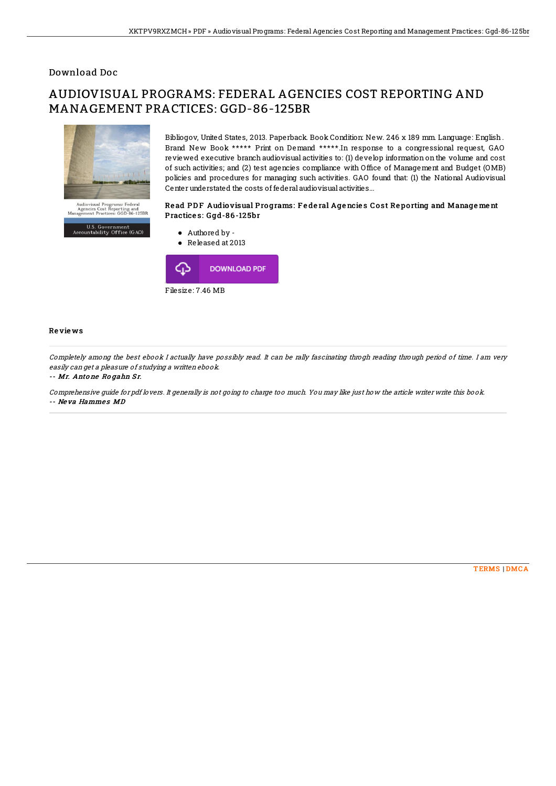## Download Doc

# AUDIOVISUAL PROGRAMS: FEDERAL AGENCIES COST REPORTING AND MANAGEMENT PRACTICES: GGD-86-125BR



U.S. Government<br>Accountability Office (GAO)

Bibliogov, United States, 2013. Paperback. Book Condition: New. 246 x 189 mm. Language: English . Brand New Book \*\*\*\*\* Print on Demand \*\*\*\*\*.In response to a congressional request, GAO reviewed executive branch audiovisual activities to: (1) develop information on the volume and cost of such activities; and (2) test agencies compliance with Office of Management and Budget (OMB) policies and procedures for managing such activities. GAO found that: (1) the National Audiovisual Center understated the costs of federal audiovisual activities...

### Read PDF Audiovisual Programs: Federal Agencies Cost Reporting and Management Practices: Ggd-86-125br



#### Re vie ws

Completely among the best ebook I actually have possibly read. It can be rally fascinating throgh reading through period of time. I am very easily can get <sup>a</sup> pleasure of studying <sup>a</sup> written ebook.

#### -- Mr. Anto ne Rogahn Sr.

Comprehensive guide for pdf lovers. It generally is not going to charge too much. You may like just how the article writer write this book. -- Neva Hammes MD